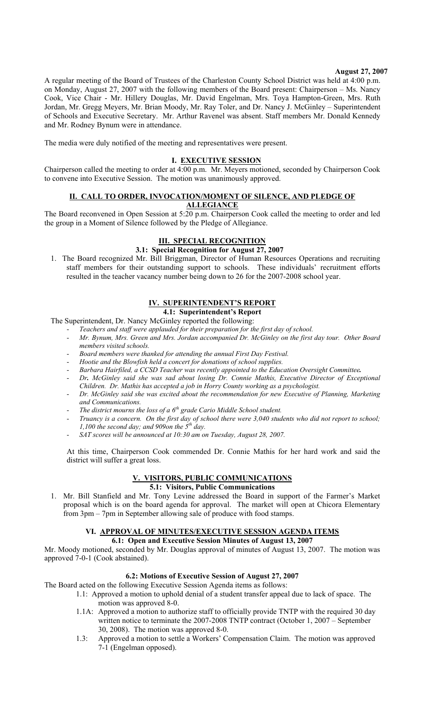#### **August 27, 2007**

A regular meeting of the Board of Trustees of the Charleston County School District was held at 4:00 p.m. on Monday, August 27, 2007 with the following members of the Board present: Chairperson – Ms. Nancy Cook, Vice Chair - Mr. Hillery Douglas, Mr. David Engelman, Mrs. Toya Hampton-Green, Mrs. Ruth Jordan, Mr. Gregg Meyers, Mr. Brian Moody, Mr. Ray Toler, and Dr. Nancy J. McGinley – Superintendent of Schools and Executive Secretary. Mr. Arthur Ravenel was absent. Staff members Mr. Donald Kennedy and Mr. Rodney Bynum were in attendance.

The media were duly notified of the meeting and representatives were present.

#### **I. EXECUTIVE SESSION**

Chairperson called the meeting to order at 4:00 p.m. Mr. Meyers motioned, seconded by Chairperson Cook to convene into Executive Session. The motion was unanimously approved.

# **II. CALL TO ORDER, INVOCATION/MOMENT OF SILENCE, AND PLEDGE OF ALLEGIANCE**

The Board reconvened in Open Session at 5:20 p.m. Chairperson Cook called the meeting to order and led the group in a Moment of Silence followed by the Pledge of Allegiance.

#### **III. SPECIAL RECOGNITION**

#### **3.1: Special Recognition for August 27, 2007**

1. The Board recognized Mr. Bill Briggman, Director of Human Resources Operations and recruiting staff members for their outstanding support to schools. These individuals' recruitment efforts resulted in the teacher vacancy number being down to 26 for the 2007-2008 school year.

#### **IV. SUPERINTENDENT'S REPORT**

# **4.1: Superintendent's Report**

The Superintendent, Dr. Nancy McGinley reported the following:

- Teachers and staff were applauded for their preparation for the first day of school.
- *Mr. Bynum, Mrs. Green and Mrs. Jordan accompanied Dr. McGinley on the first day tour. Other Board members visited schools.*
- *Board members were thanked for attending the annual First Day Festival.*
- *Hootie and the Blowfish held a concert for donations of school supplies.*
- *Barbara Hairfiled, a CCSD Teacher was recently appointed to the Education Oversight Committee.*
- *Dr. McGinley said she was sad about losing Dr. Connie Mathis, Executive Director of Exceptional Children. Dr. Mathis has accepted a job in Horry County working as a psychologist.*
- *Dr. McGinley said she was excited about the recommendation for new Executive of Planning, Marketing and Communications.*
- *The district mourns the loss of a 6th grade Cario Middle School student.*
- *Truancy is a concern. On the first day of school there were 3,040 students who did not report to school; 1,100 the second day; and 909on the 5th day.*
- *SAT scores will be announced at 10:30 am on Tuesday, August 28, 2007.*

At this time, Chairperson Cook commended Dr. Connie Mathis for her hard work and said the district will suffer a great loss.

# **V. VISITORS, PUBLIC COMMUNICATIONS**

## **5.1: Visitors, Public Communications**

1. Mr. Bill Stanfield and Mr. Tony Levine addressed the Board in support of the Farmer's Market proposal which is on the board agenda for approval. The market will open at Chicora Elementary from 3pm – 7pm in September allowing sale of produce with food stamps.

# **VI. APPROVAL OF MINUTES/EXECUTIVE SESSION AGENDA ITEMS**

**6.1: Open and Executive Session Minutes of August 13, 2007** 

Mr. Moody motioned, seconded by Mr. Douglas approval of minutes of August 13, 2007. The motion was approved 7-0-1 (Cook abstained).

## **6.2: Motions of Executive Session of August 27, 2007**

The Board acted on the following Executive Session Agenda items as follows:

- 1.1: Approved a motion to uphold denial of a student transfer appeal due to lack of space. The motion was approved 8-0.
- 1.1A: Approved a motion to authorize staff to officially provide TNTP with the required 30 day written notice to terminate the 2007-2008 TNTP contract (October 1, 2007 – September 30, 2008). The motion was approved 8-0.
- 1.3: Approved a motion to settle a Workers' Compensation Claim. The motion was approved 7-1 (Engelman opposed).